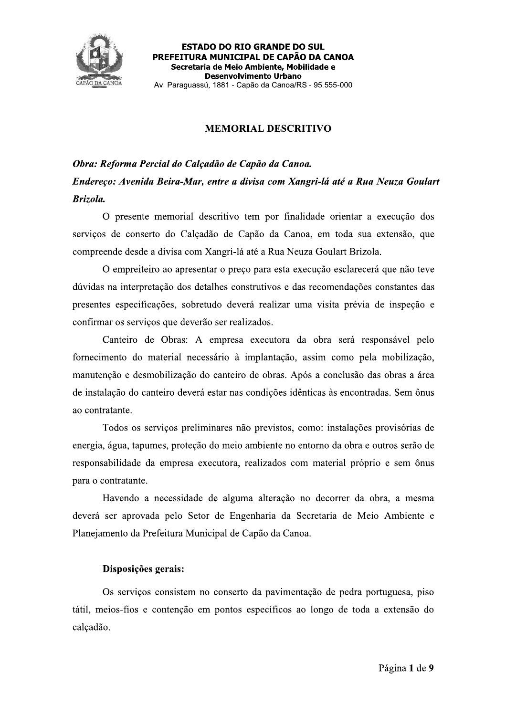

# **MEMORIAL DESCRITIVO**

# Obra: Reforma Percial do Calçadão de Capão da Canoa. Endereço: Avenida Beira-Mar, entre a divisa com Xangri-lá até a Rua Neuza Goulart Brizola.

O presente memorial descritivo tem por finalidade orientar a execução dos serviços de conserto do Calçadão de Capão da Canoa, em toda sua extensão, que compreende desde a divisa com Xangri-lá até a Rua Neuza Goulart Brizola.

O empreiteiro ao apresentar o preço para esta execução esclarecerá que não teve dúvidas na interpretação dos detalhes construtivos e das recomendações constantes das presentes especificações, sobretudo deverá realizar uma visita prévia de inspeção e confirmar os serviços que deverão ser realizados.

Canteiro de Obras: A empresa executora da obra será responsável pelo fornecimento do material necessário à implantação, assim como pela mobilização, manutenção e desmobilização do canteiro de obras. Após a conclusão das obras a área de instalação do canteiro deverá estar nas condições idênticas às encontradas. Sem ônus ao contratante.

Todos os serviços preliminares não previstos, como: instalações provisórias de energia, água, tapumes, proteção do meio ambiente no entorno da obra e outros serão de responsabilidade da empresa executora, realizados com material próprio e sem ônus para o contratante.

Havendo a necessidade de alguma alteração no decorrer da obra, a mesma deverá ser aprovada pelo Setor de Engenharia da Secretaria de Meio Ambiente e Planejamento da Prefeitura Municipal de Capão da Canoa.

## Disposições gerais:

Os serviços consistem no conserto da pavimentação de pedra portuguesa, piso tátil, meios-fios e contenção em pontos específicos ao longo de toda a extensão do calçadão.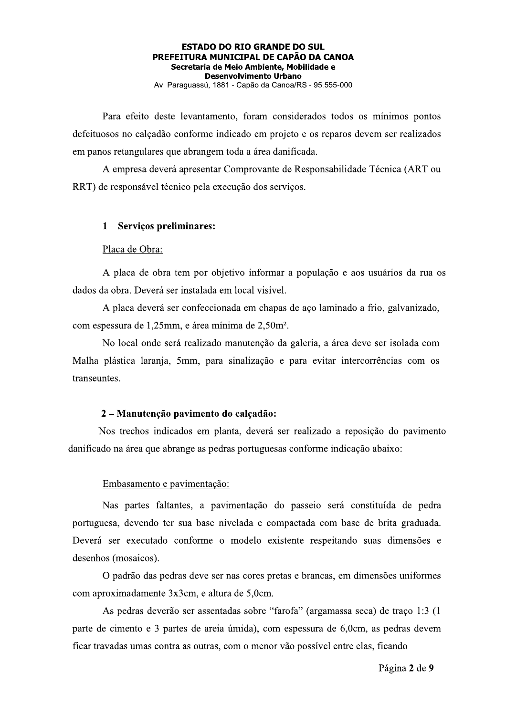Para efeito deste levantamento, foram considerados todos os mínimos pontos defeituosos no calçadão conforme indicado em projeto e os reparos devem ser realizados em panos retangulares que abrangem toda a área danificada.

A empresa deverá apresentar Comprovante de Responsabilidade Técnica (ART ou RRT) de responsável técnico pela execução dos serviços.

### 1 - Serviços preliminares:

#### Placa de Obra:

A placa de obra tem por objetivo informar a população e aos usuários da rua os dados da obra. Deverá ser instalada em local visível.

A placa deverá ser confeccionada em chapas de aço laminado a frio, galvanizado, com espessura de 1,25mm, e área mínima de 2,50m<sup>2</sup>.

No local onde será realizado manutenção da galeria, a área deve ser isolada com Malha plástica laranja, 5mm, para sinalização e para evitar intercorrências com os transeuntes.

### 2 – Manutenção pavimento do calçadão:

Nos trechos indicados em planta, deverá ser realizado a reposição do pavimento danificado na área que abrange as pedras portuguesas conforme indicação abaixo:

#### Embasamento e pavimentação:

Nas partes faltantes, a pavimentação do passeio será constituída de pedra portuguesa, devendo ter sua base nivelada e compactada com base de brita graduada. Deverá ser executado conforme o modelo existente respeitando suas dimensões e desenhos (mosaicos).

O padrão das pedras deve ser nas cores pretas e brancas, em dimensões uniformes com aproximadamente 3x3cm, e altura de 5,0cm.

As pedras deverão ser assentadas sobre "farofa" (argamassa seca) de traço 1:3 (1 parte de cimento e 3 partes de areia úmida), com espessura de 6,0cm, as pedras devem ficar travadas umas contra as outras, com o menor vão possível entre elas, ficando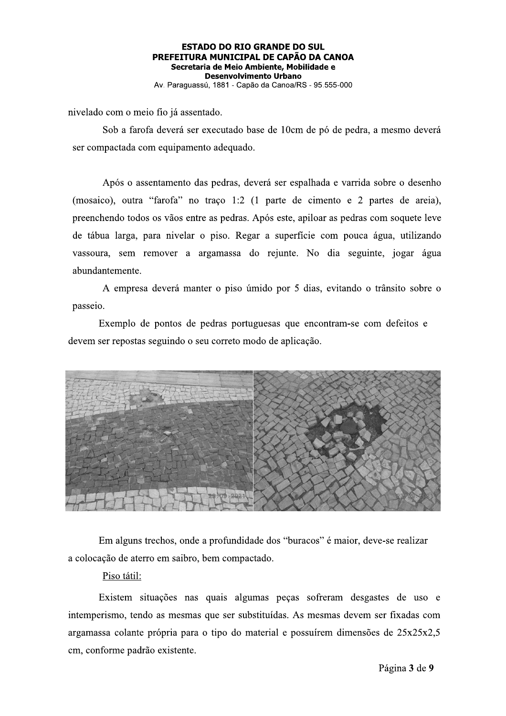## **ESTADO DO RIO GRANDE DO SUL** PREFEITURA MUNICIPAL DE CAPÃO DA CANOA Secretaria de Meio Ambiente, Mobilidade e **Desenvolvimento Urbano**

Av. Paraguassú, 1881 - Capão da Canoa/RS - 95.555-000

nivelado com o meio fio já assentado.

Sob a farofa deverá ser executado base de 10cm de pó de pedra, a mesmo deverá ser compactada com equipamento adequado.

Após o assentamento das pedras, deverá ser espalhada e varrida sobre o desenho (mosaico), outra "farofa" no traço 1:2 (1 parte de cimento e 2 partes de areia), preenchendo todos os vãos entre as pedras. Após este, apiloar as pedras com soquete leve de tábua larga, para nivelar o piso. Regar a superfície com pouca água, utilizando vassoura, sem remover a argamassa do rejunte. No dia seguinte, jogar água abundantemente.

A empresa deverá manter o piso úmido por 5 dias, evitando o trânsito sobre o passeio.

Exemplo de pontos de pedras portuguesas que encontram-se com defeitos e devem ser repostas seguindo o seu correto modo de aplicação.



Em alguns trechos, onde a profundidade dos "buracos" é maior, deve-se realizar a colocação de aterro em saibro, bem compactado.

### Piso tátil:

Existem situações nas quais algumas peças sofreram desgastes de uso e intemperismo, tendo as mesmas que ser substituídas. As mesmas devem ser fixadas com argamassa colante própria para o tipo do material e possuírem dimensões de 25x25x2,5 cm, conforme padrão existente.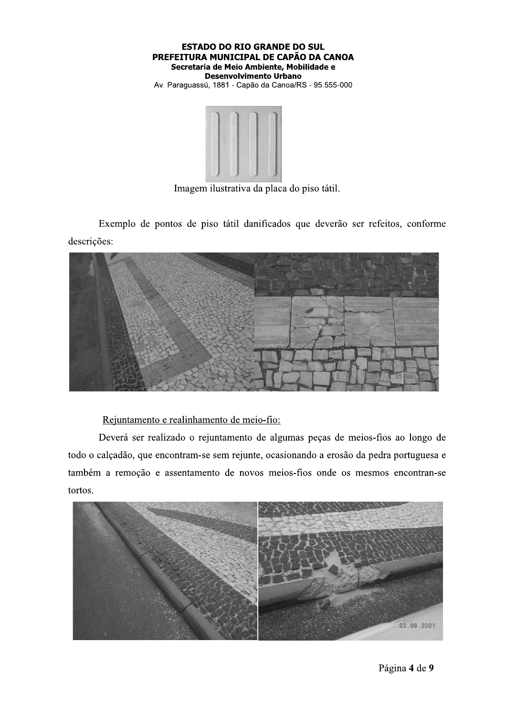



Imagem ilustrativa da placa do piso tátil.

Exemplo de pontos de piso tátil danificados que deverão ser refeitos, conforme descrições:



Rejuntamento e realinhamento de meio-fio:

Deverá ser realizado o rejuntamento de algumas peças de meios-fios ao longo de todo o calçadão, que encontram-se sem rejunte, ocasionando a erosão da pedra portuguesa e também a remoção e assentamento de novos meios-fios onde os mesmos encontran-se tortos.

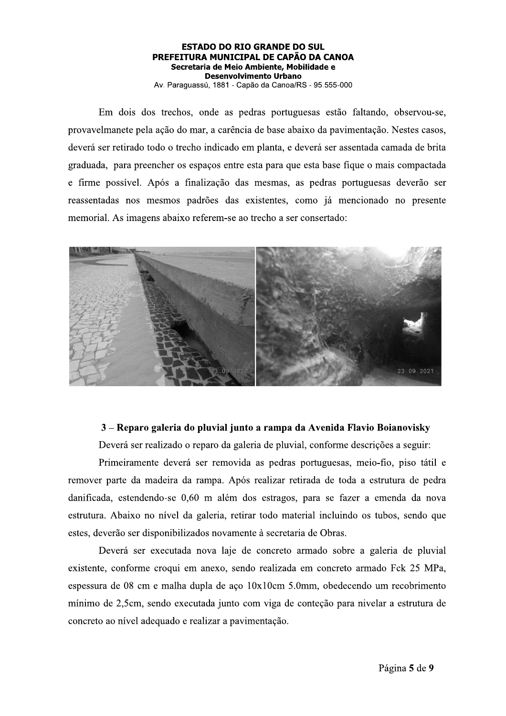Em dois dos trechos, onde as pedras portuguesas estão faltando, observou-se, provavelmanete pela ação do mar, a carência de base abaixo da pavimentação. Nestes casos, deverá ser retirado todo o trecho indicado em planta, e deverá ser assentada camada de brita graduada, para preencher os espaços entre esta para que esta base fique o mais compactada e firme possível. Após a finalização das mesmas, as pedras portuguesas deverão ser reassentadas nos mesmos padrões das existentes, como já mencionado no presente memorial. As imagens abaixo referem-se ao trecho a ser consertado:



# 3 – Reparo galeria do pluvial junto a rampa da Avenida Flavio Boianovisky

Deverá ser realizado o reparo da galeria de pluvial, conforme descrições a seguir:

Primeiramente deverá ser removida as pedras portuguesas, meio-fio, piso tátil e remover parte da madeira da rampa. Após realizar retirada de toda a estrutura de pedra danificada, estendendo-se 0,60 m além dos estragos, para se fazer a emenda da nova estrutura. Abaixo no nível da galeria, retirar todo material incluindo os tubos, sendo que estes, deverão ser disponibilizados novamente à secretaria de Obras.

Deverá ser executada nova laje de concreto armado sobre a galeria de pluvial existente, conforme croqui em anexo, sendo realizada em concreto armado Fck 25 MPa, espessura de 08 cm e malha dupla de aço 10x10cm 5.0mm, obedecendo um recobrimento mínimo de 2,5cm, sendo executada junto com viga de conteção para nivelar a estrutura de concreto ao nível adequado e realizar a pavimentação.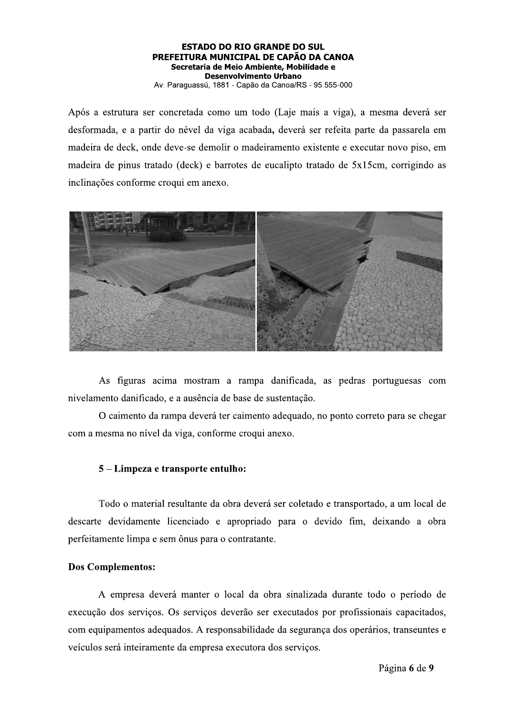Após a estrutura ser concretada como um todo (Laje mais a viga), a mesma deverá ser desformada, e a partir do nével da viga acabada, deverá ser refeita parte da passarela em madeira de deck, onde deve-se demolir o madeiramento existente e executar novo piso, em madeira de pinus tratado (deck) e barrotes de eucalipto tratado de 5x15cm, corrigindo as inclinações conforme croqui em anexo.



As figuras acima mostram a rampa danificada, as pedras portuguesas com nivelamento danificado, e a ausência de base de sustentação.

O caimento da rampa deverá ter caimento adequado, no ponto correto para se chegar com a mesma no nível da viga, conforme croqui anexo.

# 5 – Limpeza e transporte entulho:

Todo o material resultante da obra deverá ser coletado e transportado, a um local de descarte devidamente licenciado e apropriado para o devido fim, deixando a obra perfeitamente limpa e sem ônus para o contratante.

## **Dos Complementos:**

A empresa deverá manter o local da obra sinalizada durante todo o período de execução dos serviços. Os serviços deverão ser executados por profissionais capacitados, com equipamentos adequados. A responsabilidade da segurança dos operários, transeuntes e veículos será inteiramente da empresa executora dos serviços.